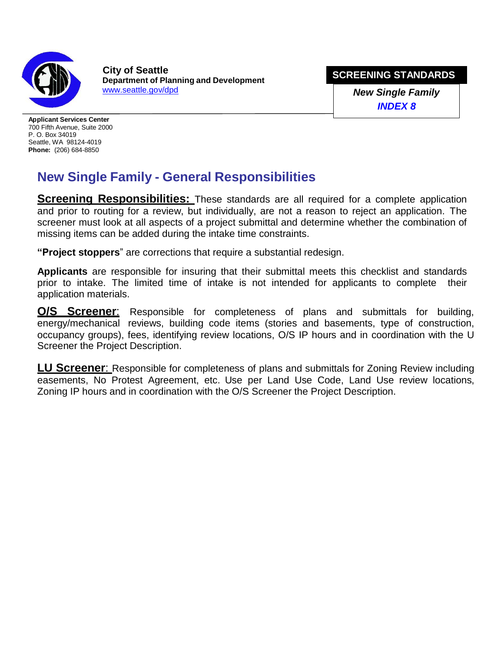

**SCREENING STANDARDS City of Seattle Department of Construction and Inspections**

**New Single Family** *INDEX 8*

**Applicant Services Center** 700 Fifth Avenue, Suite 2000 P. O. Box 34019 Seattle, WA 98124-4019 **Phone:** (206) 684-8850

# **New Single Family - General Responsibilities**

**Screening Responsibilities:** These standards are all required for a complete application and prior to routing for a review, but individually, are not a reason to reject an application. The screener must look at all aspects of a project submittal and determine whether the combination of missing items can be added during the intake time constraints.

**"Project stoppers**" are corrections that require a substantial redesign.

**Applicants** are responsible for insuring that their submittal meets this checklist and standards prior to intake. The limited time of intake is not intended for applicants to complete their application materials.

**O/S Screener**: Responsible for completeness of plans and submittals for building, energy/mechanical reviews, building code items (stories and basements, type of construction, occupancy groups), fees, identifying review locations, O/S IP hours and in coordination with the U Screener the Project Description.

**LU Screener**: Responsible for completeness of plans and submittals for Zoning Review including easements, No Protest Agreement, etc. Use per Land Use Code, Land Use review locations, Zoning IP hours and in coordination with the O/S Screener the Project Description.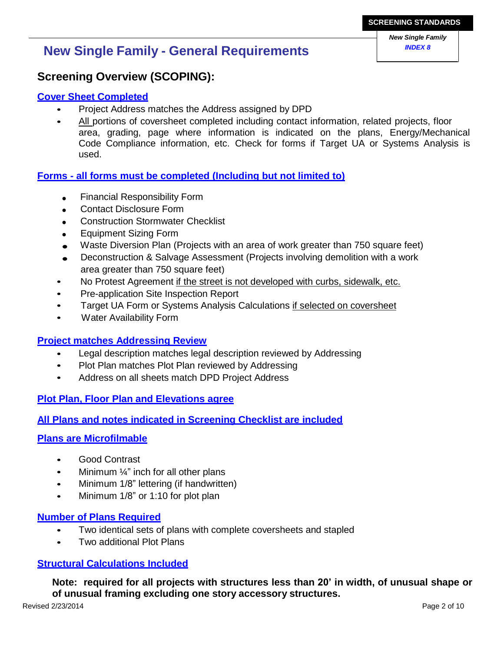# **INEX 8 INDEX 8 INDEX 8 INDEX 8 INDEX 8**

### **Screening Overview (SCOPING):**

#### **Cover Sheet Completed**

- Project Address matches the Address assigned by Seattle DCI
- All portions of coversheet completed including contact information, related projects, floor area, grading, page where information is indicated on the plans, Energy/Mechanical Code Compliance information, etc. Check for forms if Target UA or Systems Analysis is used.

#### **Forms - all forms must be completed (Including but not limited to)**

- Financial Responsibility Form
- Construction Stormwater Checklist
- Equipment Sizing Form
- Waste Diversion Plan (Projects with an area of work greater than 750 square feet)
- Deconstruction & Salvage Assessment (Projects involving demolition with a work area greater than 750 square feet)
- No Protest Agreement if the street is not developed with curbs, sidewalk, etc.
- Pre-application Site Inspection Report
- Target UA Form or Systems Analysis Calculations if selected on coversheet
- Water Availability Form

#### **Project matches Addressing Review**

- Legal description matches legal description reviewed by Addressing
- Plot Plan matches Plot Plan reviewed by Addressing
- Address on all sheets match Seattle DCI Project Address

**Plot Plan, Floor Plan and Elevations agree**

**All Plans and notes indicated in Screening Checklist are included**

#### **Plans are Microfilmable**

- Good Contrast
- Minimum  $\frac{1}{4}$ " inch for all other plans
- Minimum 1/8" lettering (if handwritten)
- Minimum 1/8" or 1:10 for plot plan

#### **Number of Plans Required**

- Two identical sets of plans with complete coversheets and stapled
- Two additional Plot Plans

#### **Structural Calculations Included**

**Note: required for all projects with structures less than 20' in width, of unusual shape or of unusual framing excluding one story accessory structures.**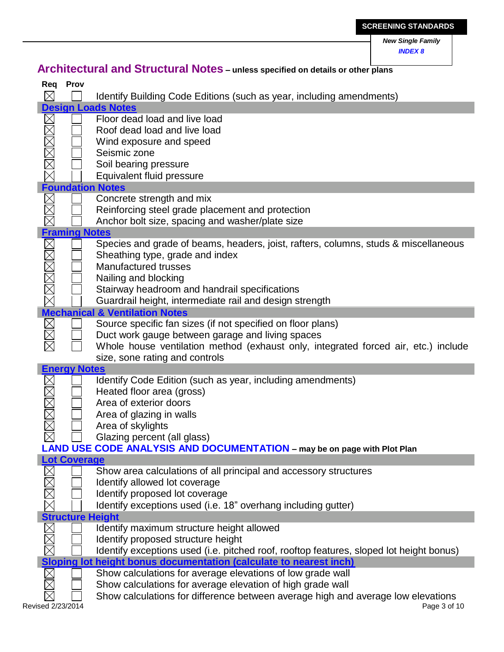|            |                      |                                                                                                                 | <b>New Single Family</b><br><b>INDEX 8</b> |
|------------|----------------------|-----------------------------------------------------------------------------------------------------------------|--------------------------------------------|
|            |                      | Architectural and Structural Notes - unless specified on details or other plans                                 |                                            |
| Req        | <b>Prov</b>          |                                                                                                                 |                                            |
| $\times$   |                      | Identify Building Code Editions (such as year, including amendments)                                            |                                            |
|            |                      | <b>Design Loads Notes</b>                                                                                       |                                            |
| <b>NNN</b> |                      | Floor dead load and live load<br>Roof dead load and live load                                                   |                                            |
|            |                      | Wind exposure and speed                                                                                         |                                            |
|            |                      | Seismic zone                                                                                                    |                                            |
|            |                      | Soil bearing pressure                                                                                           |                                            |
|            |                      | Equivalent fluid pressure                                                                                       |                                            |
|            |                      | <b>Foundation Notes</b>                                                                                         |                                            |
|            |                      | Concrete strength and mix                                                                                       |                                            |
|            |                      | Reinforcing steel grade placement and protection                                                                |                                            |
|            | <b>Framing Notes</b> | Anchor bolt size, spacing and washer/plate size                                                                 |                                            |
|            |                      | Species and grade of beams, headers, joist, rafters, columns, studs & miscellaneous                             |                                            |
|            |                      | Sheathing type, grade and index                                                                                 |                                            |
|            |                      | Manufactured trusses                                                                                            |                                            |
|            |                      | Nailing and blocking                                                                                            |                                            |
|            |                      | Stairway headroom and handrail specifications                                                                   |                                            |
|            |                      | Guardrail height, intermediate rail and design strength                                                         |                                            |
|            |                      | <b>Mechanical &amp; Ventilation Notes</b>                                                                       |                                            |
|            |                      | Source specific fan sizes (if not specified on floor plans)<br>Duct work gauge between garage and living spaces |                                            |
|            |                      | Whole house ventilation method (exhaust only, integrated forced air, etc.) include                              |                                            |
|            |                      | size, sone rating and controls                                                                                  |                                            |
|            | <b>Energy Notes</b>  |                                                                                                                 |                                            |
|            |                      | Identify Code Edition (such as year, including amendments)                                                      |                                            |
|            |                      | Heated floor area (gross)                                                                                       |                                            |
|            |                      | Area of exterior doors                                                                                          |                                            |
|            |                      | Area of glazing in walls<br>Area of skylights                                                                   |                                            |
|            |                      | Glazing percent (all glass)                                                                                     |                                            |
|            |                      | LAND USE CODE ANALYSIS AND DOCUMENTATION - may be on page with Plot Plan                                        |                                            |
|            | <b>Lot Coverage</b>  |                                                                                                                 |                                            |
|            |                      | Show area calculations of all principal and accessory structures                                                |                                            |
|            |                      | Identify allowed lot coverage                                                                                   |                                            |
|            |                      | Identify proposed lot coverage                                                                                  |                                            |
|            |                      | Identify exceptions used (i.e. 18" overhang including gutter)                                                   |                                            |
|            |                      | <b>Structure Height</b><br>Identify maximum structure height allowed                                            |                                            |
| $\times$   |                      | Identify proposed structure height                                                                              |                                            |
|            |                      | Identify exceptions used (i.e. pitched roof, rooftop features, sloped lot height bonus)                         |                                            |
|            |                      | Sloping lot height bonus documentation (calculate to nearest inch)                                              |                                            |
|            |                      | Show calculations for average elevations of low grade wall                                                      |                                            |
|            |                      | Show calculations for average elevation of high grade wall                                                      |                                            |
|            |                      | Show calculations for difference between average high and average low elevations                                | Page 3 of 10                               |
|            | Revised 01/01/2016   |                                                                                                                 |                                            |

**SCREENING STANDARDS**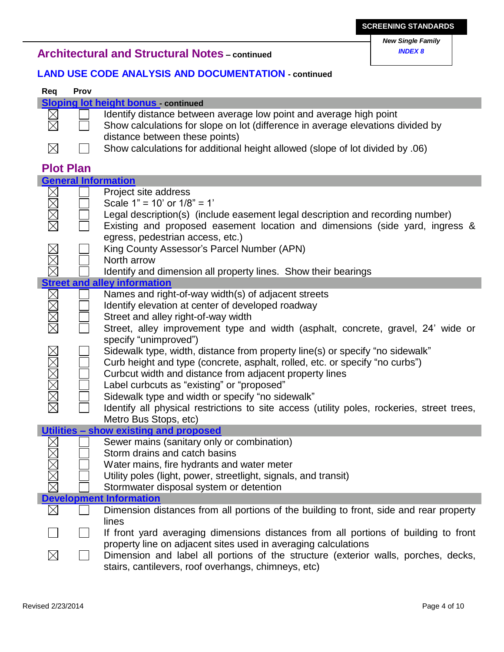## *New Single Family*

## **A** *INDEX <sup>8</sup>* **rchitectural and Structural Notes – continued**

#### **LAND USE CODE ANALYSIS AND DOCUMENTATION - continued**

| Req                           | Prov             |                                                                                                                                                                                                                                                                                                                                                                                                                                                                                                                                                                                                                                                                                          |
|-------------------------------|------------------|------------------------------------------------------------------------------------------------------------------------------------------------------------------------------------------------------------------------------------------------------------------------------------------------------------------------------------------------------------------------------------------------------------------------------------------------------------------------------------------------------------------------------------------------------------------------------------------------------------------------------------------------------------------------------------------|
|                               |                  | <b>Sloping lot height bonus</b> continued                                                                                                                                                                                                                                                                                                                                                                                                                                                                                                                                                                                                                                                |
|                               |                  | Identify distance between average low point and average high point<br>Show calculations for slope on lot (difference in average elevations divided by<br>distance between these points)                                                                                                                                                                                                                                                                                                                                                                                                                                                                                                  |
| $\boxtimes$                   |                  | Show calculations for additional height allowed (slope of lot divided by .06)                                                                                                                                                                                                                                                                                                                                                                                                                                                                                                                                                                                                            |
|                               | <b>Plot Plan</b> |                                                                                                                                                                                                                                                                                                                                                                                                                                                                                                                                                                                                                                                                                          |
|                               |                  | <b>General Information</b>                                                                                                                                                                                                                                                                                                                                                                                                                                                                                                                                                                                                                                                               |
| $\frac{\boxtimes}{\boxtimes}$ |                  | Project site address<br>Scale $1" = 10'$ or $1/8" = 1'$<br>Legal description(s) (include easement legal description and recording number)<br>Existing and proposed easement location and dimensions (side yard, ingress &<br>egress, pedestrian access, etc.)                                                                                                                                                                                                                                                                                                                                                                                                                            |
|                               |                  | King County Assessor's Parcel Number (APN)                                                                                                                                                                                                                                                                                                                                                                                                                                                                                                                                                                                                                                               |
|                               |                  | Identify and dimension all property lines. Show their bearings                                                                                                                                                                                                                                                                                                                                                                                                                                                                                                                                                                                                                           |
|                               |                  |                                                                                                                                                                                                                                                                                                                                                                                                                                                                                                                                                                                                                                                                                          |
| XMMMMM                        |                  | Names and right-of-way width(s) of adjacent streets<br>Identify elevation at center of developed roadway<br>Street and alley right-of-way width<br>Street, alley improvement type and width (asphalt, concrete, gravel, 24' wide or<br>specify "unimproved")<br>Sidewalk type, width, distance from property line(s) or specify "no sidewalk"<br>Curb height and type (concrete, asphalt, rolled, etc. or specify "no curbs")<br>Curbcut width and distance from adjacent property lines<br>Label curbcuts as "existing" or "proposed"<br>Sidewalk type and width or specify "no sidewalk"<br>Identify all physical restrictions to site access (utility poles, rockeries, street trees, |
|                               |                  | Metro Bus Stops, etc)<br>Utilities - show existing and proposed                                                                                                                                                                                                                                                                                                                                                                                                                                                                                                                                                                                                                          |
| $\boxtimes$                   |                  | Sewer mains (sanitary only or combination)<br>Storm drains and catch basins<br>Water mains, fire hydrants and water meter<br>Utility poles (light, power, streetlight, signals, and transit)<br>Stormwater disposal system or detention                                                                                                                                                                                                                                                                                                                                                                                                                                                  |
|                               |                  | <b>Development Information</b>                                                                                                                                                                                                                                                                                                                                                                                                                                                                                                                                                                                                                                                           |
|                               |                  | Dimension distances from all portions of the building to front, side and rear property<br>lines                                                                                                                                                                                                                                                                                                                                                                                                                                                                                                                                                                                          |
|                               |                  | If front yard averaging dimensions distances from all portions of building to front<br>property line on adjacent sites used in averaging calculations<br>Dimension and label all portions of the structure (exterior walls, porches, decks,                                                                                                                                                                                                                                                                                                                                                                                                                                              |
|                               |                  | stairs, cantilevers, roof overhangs, chimneys, etc)                                                                                                                                                                                                                                                                                                                                                                                                                                                                                                                                                                                                                                      |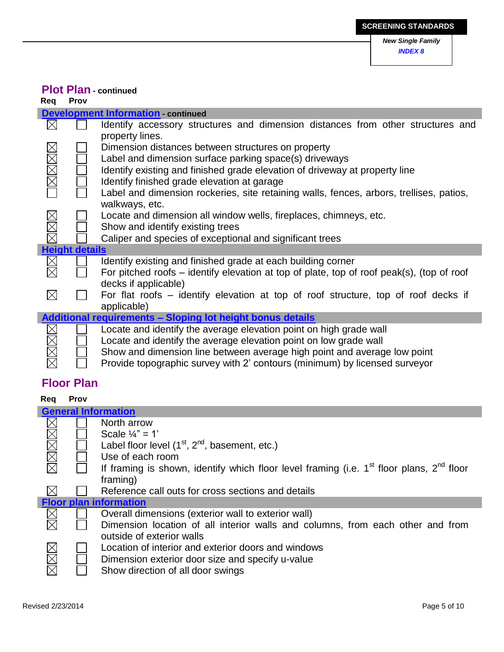## **Plot Plan - continued**

| Reg                        | Prov                  |                                                                                                                                                                                                                                                                                                                                                         |
|----------------------------|-----------------------|---------------------------------------------------------------------------------------------------------------------------------------------------------------------------------------------------------------------------------------------------------------------------------------------------------------------------------------------------------|
|                            |                       | <b>Development Information</b> continued                                                                                                                                                                                                                                                                                                                |
| $\boxtimes$                |                       | Identify accessory structures and dimension distances from other structures and<br>property lines.                                                                                                                                                                                                                                                      |
| <b>IMMER</b>               |                       | Dimension distances between structures on property<br>Label and dimension surface parking space(s) driveways<br>Identify existing and finished grade elevation of driveway at property line<br>Identify finished grade elevation at garage<br>Label and dimension rockeries, site retaining walls, fences, arbors, trellises, patios,<br>walkways, etc. |
| XMX                        |                       | Locate and dimension all window wells, fireplaces, chimneys, etc.<br>Show and identify existing trees<br>Caliper and species of exceptional and significant trees                                                                                                                                                                                       |
|                            | <b>Height details</b> |                                                                                                                                                                                                                                                                                                                                                         |
| $\boxtimes$<br>$\boxtimes$ |                       | Identify existing and finished grade at each building corner<br>For pitched roofs – identify elevation at top of plate, top of roof peak(s), (top of roof<br>decks if applicable)                                                                                                                                                                       |
| $\boxtimes$                |                       | For flat roofs – identify elevation at top of roof structure, top of roof decks if<br>applicable)                                                                                                                                                                                                                                                       |
|                            |                       | Additional requirements - Sloping lot height bonus details                                                                                                                                                                                                                                                                                              |
| XXX                        |                       | Locate and identify the average elevation point on high grade wall<br>Locate and identify the average elevation point on low grade wall<br>Show and dimension line between average high point and average low point<br>Provide topographic survey with 2' contours (minimum) by licensed surveyor                                                       |

## **Floor Plan**

### **Req Prov**

|       | <b>General Information</b> |                                                                                              |  |
|-------|----------------------------|----------------------------------------------------------------------------------------------|--|
|       |                            | North arrow                                                                                  |  |
|       |                            | Scale $\frac{1}{4}$ " = 1'                                                                   |  |
| XMXXX |                            | Label floor level (1 <sup>st</sup> , 2 <sup>nd</sup> , basement, etc.)                       |  |
|       |                            | Use of each room                                                                             |  |
|       |                            | If framing is shown, identify which floor level framing (i.e. $1st$ floor plans, $2nd$ floor |  |
|       |                            | framing)                                                                                     |  |
|       |                            | Reference call outs for cross sections and details                                           |  |
|       |                            | <b>Floor plan information</b>                                                                |  |
|       |                            | Overall dimensions (exterior wall to exterior wall)                                          |  |
|       |                            | Dimension location of all interior walls and columns, from each other and from               |  |
|       |                            | outside of exterior walls                                                                    |  |
|       |                            | Location of interior and exterior doors and windows                                          |  |
|       |                            | Dimension exterior door size and specify u-value                                             |  |
| MMM   |                            | Show direction of all door swings                                                            |  |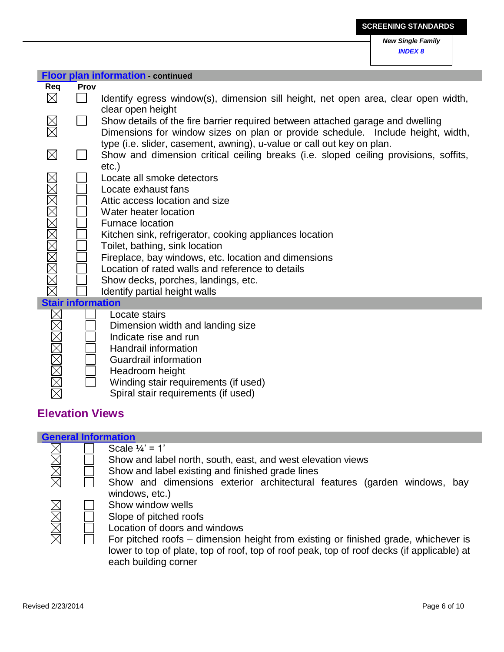**Floor plan information - continued Req Prov**  $\boxtimes$ Identify egress window(s), dimension sill height, net open area, clear open width,  $\Box$ clear open height  $\frac{\boxtimes}{\boxtimes}$  $\Box$ Show details of the fire barrier required between attached garage and dwelling Dimensions for window sizes on plan or provide schedule. Include height, width, type (i.e. slider, casement, awning), u-value or call out key on plan.  $\boxtimes$ Show and dimension critical ceiling breaks (i.e. sloped ceiling provisions, soffits, etc.) MMMMMMMMMM Locate all smoke detectors Locate exhaust fans Attic access location and size Water heater location Furnace location Kitchen sink, refrigerator, cooking appliances location Toilet, bathing, sink location Fireplace, bay windows, etc. location and dimensions Location of rated walls and reference to details Show decks, porches, landings, etc. Identify partial height walls **Stair information MMMMMMR** Locate stairs Dimension width and landing size Indicate rise and run Handrail information Guardrail information Headroom height Winding stair requirements (if used)

Spiral stair requirements (if used)

## **Elevation Views**

I

| <b>General Information</b> |                                                                                                                    |
|----------------------------|--------------------------------------------------------------------------------------------------------------------|
| $\boxtimes$                | Scale $1/4$ ' = 1'                                                                                                 |
| MMMI                       | Show and label north, south, east, and west elevation views                                                        |
|                            | Show and label existing and finished grade lines                                                                   |
|                            | Show and dimensions exterior architectural features (garden windows, bay                                           |
|                            | windows, etc.)                                                                                                     |
|                            | Show window wells                                                                                                  |
|                            | Slope of pitched roofs                                                                                             |
| XXXX                       | Location of doors and windows                                                                                      |
|                            | For pitched roofs – dimension height from existing or finished grade, whichever is                                 |
|                            | lower to top of plate, top of roof, top of roof peak, top of roof decks (if applicable) at<br>each building corner |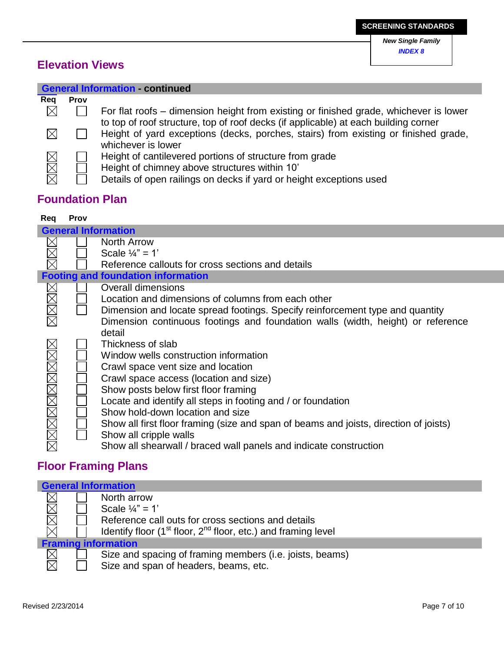# **Elevation Views**

|             | <b>General Information - continued</b> |                                                                                                                                                                                                  |  |  |
|-------------|----------------------------------------|--------------------------------------------------------------------------------------------------------------------------------------------------------------------------------------------------|--|--|
| Reg         | <b>Prov</b>                            |                                                                                                                                                                                                  |  |  |
| $\boxtimes$ |                                        | For flat roofs – dimension height from existing or finished grade, whichever is lower                                                                                                            |  |  |
| $\times$    |                                        | to top of roof structure, top of roof decks (if applicable) at each building corner<br>Height of yard exceptions (decks, porches, stairs) from existing or finished grade,<br>whichever is lower |  |  |
| XXX         |                                        | Height of cantilevered portions of structure from grade<br>Height of chimney above structures within 10'<br>Details of open railings on decks if yard or height exceptions used                  |  |  |

# **Foundation Plan**

#### **Req Prov**

|                            | <b>General Information</b> |                                                                                       |  |  |
|----------------------------|----------------------------|---------------------------------------------------------------------------------------|--|--|
|                            |                            | North Arrow                                                                           |  |  |
|                            |                            | Scale $\frac{1}{4}$ " = 1'                                                            |  |  |
|                            |                            | Reference callouts for cross sections and details                                     |  |  |
|                            |                            | <b>Footing and foundation information</b>                                             |  |  |
|                            |                            | <b>Overall dimensions</b>                                                             |  |  |
|                            |                            | Location and dimensions of columns from each other                                    |  |  |
| MMM                        |                            | Dimension and locate spread footings. Specify reinforcement type and quantity         |  |  |
|                            |                            | Dimension continuous footings and foundation walls (width, height) or reference       |  |  |
|                            |                            | detail                                                                                |  |  |
|                            |                            | Thickness of slab                                                                     |  |  |
|                            |                            | Window wells construction information                                                 |  |  |
|                            |                            | Crawl space vent size and location                                                    |  |  |
|                            |                            | Crawl space access (location and size)                                                |  |  |
|                            |                            | Show posts below first floor framing                                                  |  |  |
|                            |                            | Locate and identify all steps in footing and / or foundation                          |  |  |
|                            |                            | Show hold-down location and size                                                      |  |  |
|                            |                            | Show all first floor framing (size and span of beams and joists, direction of joists) |  |  |
| <u>xin riki yekin ya k</u> |                            | Show all cripple walls                                                                |  |  |
|                            |                            | Show all shearwall / braced wall panels and indicate construction                     |  |  |

# **Floor Framing Plans**

| <b>General Information</b> |  |                                                                         |  |
|----------------------------|--|-------------------------------------------------------------------------|--|
|                            |  | North arrow                                                             |  |
|                            |  | Scale $\frac{1}{4}$ " = 1'                                              |  |
| MMM                        |  | Reference call outs for cross sections and details                      |  |
|                            |  | Identify floor $(1^{st}$ floor, $2^{nd}$ floor, etc.) and framing level |  |
| <b>Framing information</b> |  |                                                                         |  |
| $\boxtimes$                |  | Size and spacing of framing members (i.e. joists, beams)                |  |
|                            |  | Size and span of headers, beams, etc.                                   |  |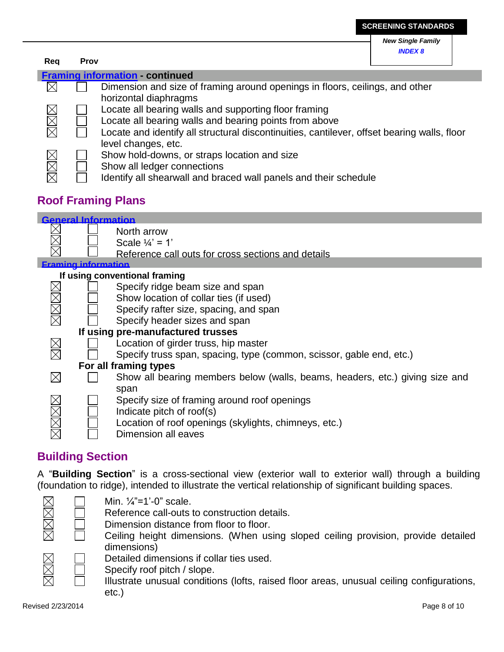| Req | Prov                                   |                                                                                                                                                                                                                                       |  |  |  |
|-----|----------------------------------------|---------------------------------------------------------------------------------------------------------------------------------------------------------------------------------------------------------------------------------------|--|--|--|
|     | <b>Framing information - continued</b> |                                                                                                                                                                                                                                       |  |  |  |
|     |                                        | Dimension and size of framing around openings in floors, ceilings, and other<br>horizontal diaphragms                                                                                                                                 |  |  |  |
| XXX |                                        | Locate all bearing walls and supporting floor framing<br>Locate all bearing walls and bearing points from above<br>Locate and identify all structural discontinuities, cantilever, offset bearing walls, floor<br>level changes, etc. |  |  |  |
| XXX |                                        | Show hold-downs, or straps location and size<br>Show all ledger connections<br>Identify all shearwall and braced wall panels and their schedule                                                                                       |  |  |  |

# **Roof Framing Plans**

|      | <b>General Information</b> |                                                                              |
|------|----------------------------|------------------------------------------------------------------------------|
|      |                            | North arrow                                                                  |
|      |                            | Scale $\frac{1}{4}$ = 1'                                                     |
|      |                            | Reference call outs for cross sections and details                           |
|      | Eraming information        |                                                                              |
|      |                            | If using conventional framing                                                |
|      |                            | Specify ridge beam size and span                                             |
|      |                            | Show location of collar ties (if used)                                       |
|      |                            | Specify rafter size, spacing, and span                                       |
| MMM  |                            | Specify header sizes and span                                                |
|      |                            | If using pre-manufactured trusses                                            |
|      |                            | Location of girder truss, hip master                                         |
|      |                            | Specify truss span, spacing, type (common, scissor, gable end, etc.)         |
|      |                            | For all framing types                                                        |
|      |                            | Show all bearing members below (walls, beams, headers, etc.) giving size and |
|      |                            | span                                                                         |
|      |                            | Specify size of framing around roof openings                                 |
| XXXX |                            | Indicate pitch of roof(s)                                                    |
|      |                            | Location of roof openings (skylights, chimneys, etc.)                        |
|      |                            | Dimension all eaves                                                          |
|      |                            |                                                                              |

# **Building Section**

A "**Building Section**" is a cross-sectional view (exterior wall to exterior wall) through a building (foundation to ridge), intended to illustrate the vertical relationship of significant building spaces.



## Min. ¼"=1'-0" scale.

Reference call-outs to construction details.

Dimension distance from floor to floor.

Ceiling height dimensions. (When using sloped ceiling provision, provide detailed dimensions)

Detailed dimensions if collar ties used.

Specify roof pitch / slope.

Illustrate unusual conditions (lofts, raised floor areas, unusual ceiling configurations, etc.)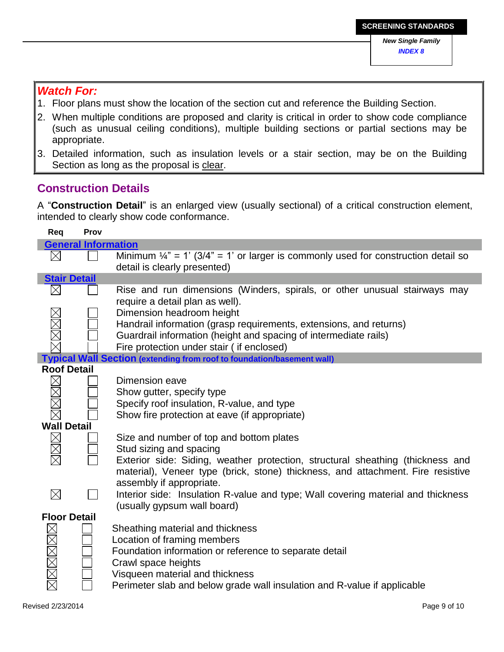## *Watch For:*

- 1. Floor plans must show the location of the section cut and reference the Building Section.
- 2. When multiple conditions are proposed and clarity is critical in order to show code compliance (such as unusual ceiling conditions), multiple building sections or partial sections may be appropriate.
- 3. Detailed information, such as insulation levels or a stair section, may be on the Building Section as long as the proposal is clear.

## **Construction Details**

A "**Construction Detail**" is an enlarged view (usually sectional) of a critical construction element, intended to clearly show code conformance.

| Req                 | Prov                       |                                                                                               |
|---------------------|----------------------------|-----------------------------------------------------------------------------------------------|
|                     | <b>General Information</b> |                                                                                               |
| $\times$            |                            | Minimum $\frac{1}{4}$ " = 1' (3/4" = 1' or larger is commonly used for construction detail so |
|                     |                            | detail is clearly presented)                                                                  |
| <b>Stair Detail</b> |                            |                                                                                               |
|                     |                            | Rise and run dimensions (Winders, spirals, or other unusual stairways may                     |
|                     |                            | require a detail plan as well).                                                               |
|                     |                            | Dimension headroom height                                                                     |
| XXXX                |                            | Handrail information (grasp requirements, extensions, and returns)                            |
|                     |                            | Guardrail information (height and spacing of intermediate rails)                              |
|                     |                            | Fire protection under stair (if enclosed)                                                     |
|                     |                            | <b>Typical Wall Section (extending from roof to foundation/basement wall)</b>                 |
| <b>Roof Detail</b>  |                            |                                                                                               |
|                     |                            | Dimension eave                                                                                |
|                     |                            | Show gutter, specify type                                                                     |
|                     |                            | Specify roof insulation, R-value, and type                                                    |
|                     |                            | Show fire protection at eave (if appropriate)                                                 |
| <b>Mall Detail</b>  |                            |                                                                                               |
| MMM                 |                            | Size and number of top and bottom plates                                                      |
|                     |                            | Stud sizing and spacing                                                                       |
|                     |                            | Exterior side: Siding, weather protection, structural sheathing (thickness and                |
|                     |                            | material), Veneer type (brick, stone) thickness, and attachment. Fire resistive               |
|                     |                            | assembly if appropriate.                                                                      |
| $\boxtimes$         |                            | Interior side: Insulation R-value and type; Wall covering material and thickness              |
|                     |                            | (usually gypsum wall board)                                                                   |
| <b>Floor Detail</b> |                            |                                                                                               |
|                     |                            | Sheathing material and thickness                                                              |
|                     |                            | Location of framing members                                                                   |
|                     |                            | Foundation information or reference to separate detail                                        |
|                     |                            | Crawl space heights                                                                           |
|                     |                            | Visqueen material and thickness                                                               |
|                     |                            | Perimeter slab and below grade wall insulation and R-value if applicable                      |
|                     |                            |                                                                                               |